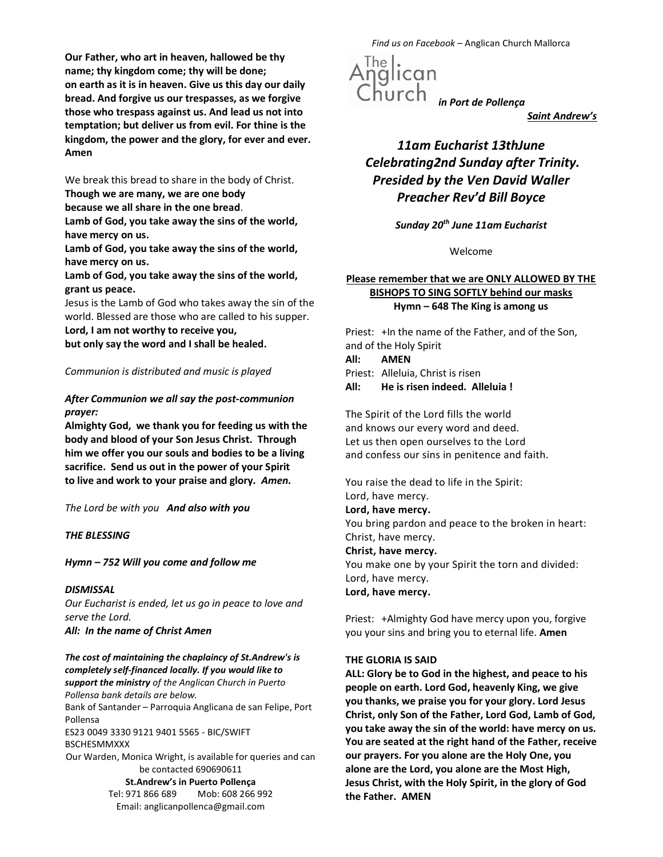Our Father, who art in heaven, hallowed be thy name; thy kingdom come; thy will be done; on earth as it is in heaven. Give us this day our daily bread. And forgive us our trespasses, as we forgive those who trespass against us. And lead us not into temptation; but deliver us from evil. For thine is the kingdom, the power and the glory, for ever and ever. Amen

We break this bread to share in the body of Christ. Though we are many, we are one body

because we all share in the one bread.

Lamb of God, you take away the sins of the world, have mercy on us.

Lamb of God, you take away the sins of the world, have mercy on us.

Lamb of God, you take away the sins of the world, grant us peace.

Jesus is the Lamb of God who takes away the sin of the world. Blessed are those who are called to his supper.

Lord, I am not worthy to receive you,

but only say the word and I shall be healed.

Communion is distributed and music is played

After Communion we all say the post-communion prayer:

Almighty God, we thank you for feeding us with the body and blood of your Son Jesus Christ. Through him we offer you our souls and bodies to be a living sacrifice. Send us out in the power of your Spirit to live and work to your praise and glory. Amen.

The Lord be with you And also with you

THE BLESSING

Hymn – 752 Will you come and follow me

## **DISMISSAL**

Our Eucharist is ended, let us go in peace to love and serve the Lord. All: In the name of Christ Amen

The cost of maintaining the chaplaincy of St.Andrew's is completely self-financed locally. If you would like to support the ministry of the Anglican Church in Puerto Pollensa bank details are below.

Bank of Santander – Parroquia Anglicana de san Felipe, Port Pollensa

ES23 0049 3330 9121 9401 5565 - BIC/SWIFT BSCHESMMXXX

Our Warden, Monica Wright, is available for queries and can be contacted 690690611 St.Andrew's in Puerto Pollença Tel: 971 866 689 Mob: 608 266 992

Email: anglicanpollenca@gmail.com

Find us on Facebook – Anglican Church Mallorca

The |<br>.nglican  $i$ hurch $i$ n Port de Pollença

Saint Andrew's

# 11am Eucharist 13thJune Celebrating2nd Sunday after Trinity. Presided by the Ven David Waller Preacher Rev'd Bill Boyce

Sunday 20<sup>th</sup> June 11am Eucharist

Welcome

# Please remember that we are ONLY ALLOWED BY THE BISHOPS TO SING SOFTLY behind our masks Hymn – 648 The King is among us

Priest: +In the name of the Father, and of the Son, and of the Holy Spirit All: AMEN

Priest: Alleluia, Christ is risen All: He is risen indeed. Alleluia !

The Spirit of the Lord fills the world and knows our every word and deed. Let us then open ourselves to the Lord and confess our sins in penitence and faith.

You raise the dead to life in the Spirit: Lord, have mercy. Lord, have mercy. You bring pardon and peace to the broken in heart: Christ, have mercy. Christ, have mercy. You make one by your Spirit the torn and divided: Lord, have mercy. Lord, have mercy.

Priest: +Almighty God have mercy upon you, forgive you your sins and bring you to eternal life. Amen

## THE GLORIA IS SAID

ALL: Glory be to God in the highest, and peace to his people on earth. Lord God, heavenly King, we give you thanks, we praise you for your glory. Lord Jesus Christ, only Son of the Father, Lord God, Lamb of God, you take away the sin of the world: have mercy on us. You are seated at the right hand of the Father, receive our prayers. For you alone are the Holy One, you alone are the Lord, you alone are the Most High, Jesus Christ, with the Holy Spirit, in the glory of God the Father. AMEN